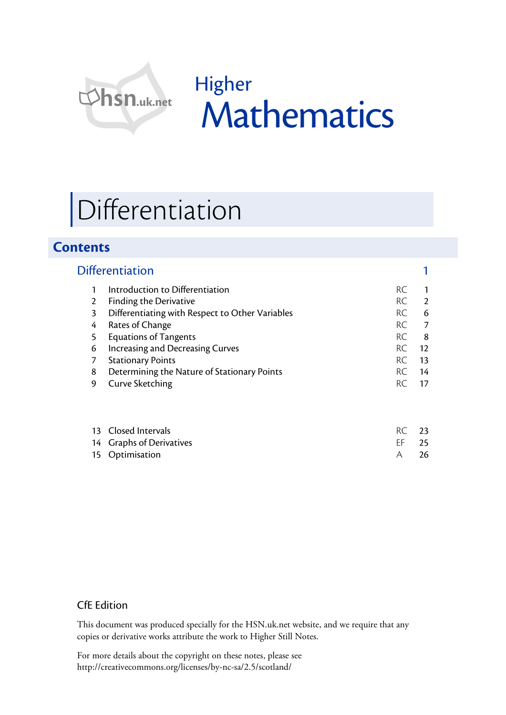

Higher Mathematics

# Differentiation

# **Contents**

|   | <b>Differentiation</b>                          |           |                 |
|---|-------------------------------------------------|-----------|-----------------|
|   | Introduction to Differentiation                 | RC        |                 |
| 2 | Finding the Derivative                          | <b>RC</b> | $\mathcal{L}$   |
| 3 | Differentiating with Respect to Other Variables | <b>RC</b> | 6               |
| 4 | Rates of Change                                 | RC.       | 7               |
| 5 | <b>Equations of Tangents</b>                    | <b>RC</b> | 8               |
| 6 | Increasing and Decreasing Curves                | RC.       | $12 \ \mathrm{$ |
|   | <b>Stationary Points</b>                        | RC.       | 13              |
| 8 | Determining the Nature of Stationary Points     | <b>RC</b> | 14              |
| 9 | <b>Curve Sketching</b>                          | RC.       | 17              |
|   |                                                 |           |                 |
|   |                                                 |           |                 |
|   |                                                 | n r       |                 |

#### 13 Closed Intervals **RC** 23 14 Graphs of Derivatives **EXACTES** 25 15 Optimisation A 26

# CfE Edition

This document was produced specially for the HSN.uk.net website, and we require that any copies or derivative works attribute the work to Higher Still Notes.

For more details about the copyright on these notes, please see http://creativecommons.org/licenses/by-nc-sa/2.5/scotland/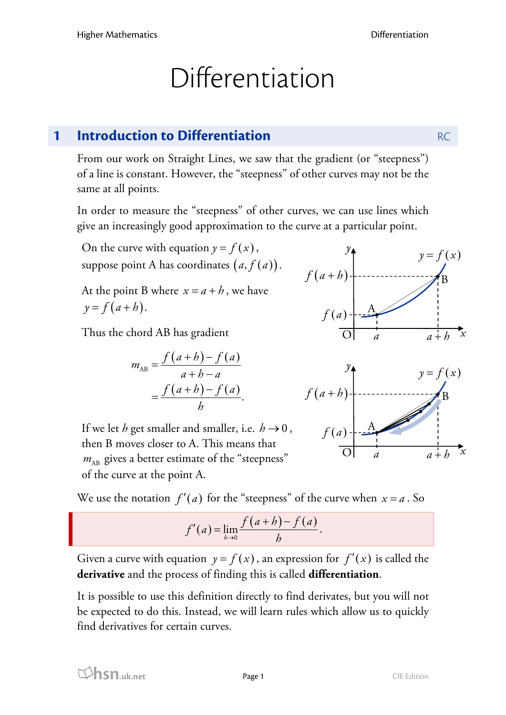# Differentiation

# **1 Introduction to Differentiation RC** RC

From our work on Straight Lines, we saw that the gradient (or "steepness") of a line is constant. However, the "steepness" of other curves may not be the same at all points.

In order to measure the "steepness" of other curves, we can use lines which give an increasingly good approximation to the curve at a particular point.

On the curve with equation  $y = f(x)$ , suppose point A has coordinates  $(a, f(a))$ .

At the point B where  $x = a + b$ , we have  $y = f(a + b)$ .

Thus the chord AB has gradient

$$
m_{AB} = \frac{f(a+h) - f(a)}{a+h-a}
$$

$$
= \frac{f(a+h) - f(a)}{h}.
$$

If we let *h* get smaller and smaller, i.e.  $h \rightarrow 0$ , then B moves closer to A. This means that  $m_{AB}$  gives a better estimate of the "steepness" of the curve at the point A.



$$
f'(a) = \lim_{b \to 0} \frac{f(a+b) - f(a)}{b}.
$$

Given a curve with equation  $y = f(x)$ , an expression for  $f'(x)$  is called the **derivative** and the process of finding this is called **differentiation**.

It is possible to use this definition directly to find derivates, but you will not be expected to do this. Instead, we will learn rules which allow us to quickly find derivatives for certain curves.



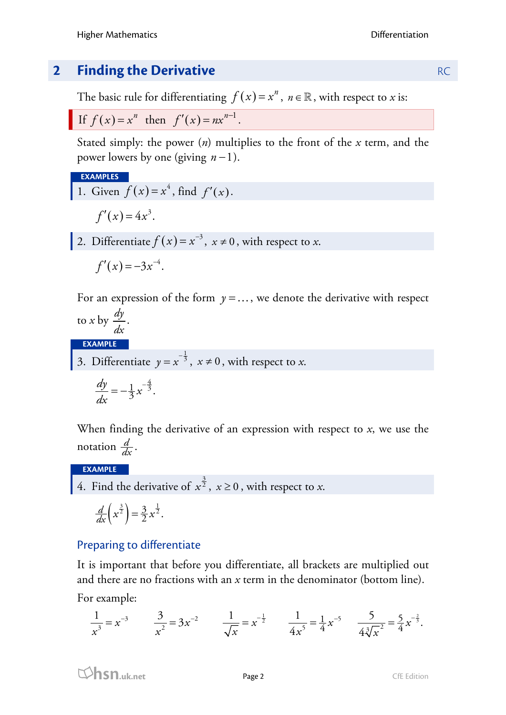# **2 <b>Finding the Derivative RC RC**

The basic rule for differentiating  $f(x) = x^n$ ,  $n \in \mathbb{R}$ , with respect to *x* is:

$$
\text{If } f(x) = x^n \text{ then } f'(x) = nx^{n-1}.
$$

Stated simply: the power (*n*) multiplies to the front of the *x* term, and the power lowers by one (giving *n* −1).

EXAMPLES  
1. Given 
$$
f(x) = x^4
$$
, find  $f'(x)$ .  
 $f'(x) = 4x^3$ .

2. Differentiate  $f(x) = x^{-3}$ ,  $x \ne 0$ , with respect to *x*.

$$
f'(x) = -3x^{-4}.
$$

For an expression of the form  $y = \ldots$ , we denote the derivative with respect to *x* by  $\frac{dy}{dx}$ 

$$
\frac{\partial}{\partial x} \cdot \frac{\partial}{\partial y} \cdot \frac{\partial}{\partial x} \cdot \frac{\partial}{\partial y} \cdot \frac{\partial}{\partial y} \cdot \frac{\partial}{\partial y} \cdot \frac{\partial}{\partial y} \cdot \frac{\partial}{\partial y} \cdot \frac{\partial}{\partial y} \cdot \frac{\partial}{\partial y} \cdot \frac{\partial}{\partial y} \cdot \frac{\partial}{\partial y} \cdot \frac{\partial}{\partial y} \cdot \frac{\partial}{\partial y} \cdot \frac{\partial}{\partial y} \cdot \frac{\partial}{\partial y} \cdot \frac{\partial}{\partial y} \cdot \frac{\partial}{\partial y} \cdot \frac{\partial}{\partial y} \cdot \frac{\partial}{\partial y} \cdot \frac{\partial}{\partial y} \cdot \frac{\partial}{\partial y} \cdot \frac{\partial}{\partial y} \cdot \frac{\partial}{\partial y} \cdot \frac{\partial}{\partial y} \cdot \frac{\partial}{\partial y} \cdot \frac{\partial}{\partial y} \cdot \frac{\partial}{\partial y} \cdot \frac{\partial}{\partial y} \cdot \frac{\partial}{\partial y} \cdot \frac{\partial}{\partial y} \cdot \frac{\partial}{\partial z} \cdot \frac{\partial}{\partial z} \cdot \frac{\partial}{\partial z} \cdot \frac{\partial}{\partial z} \cdot \frac{\partial}{\partial z} \cdot \frac{\partial}{\partial z} \cdot \frac{\partial}{\partial z} \cdot \frac{\partial}{\partial z} \cdot \frac{\partial}{\partial z} \cdot \frac{\partial}{\partial z} \cdot \frac{\partial}{\partial z} \cdot \frac{\partial}{\partial z} \cdot \frac{\partial}{\partial z} \cdot \frac{\partial}{\partial z} \cdot \frac{\partial}{\partial z} \cdot \frac{\partial}{\partial z} \cdot \frac{\partial}{\partial z} \cdot \frac{\partial}{\partial z} \cdot \frac{\partial}{\partial z} \cdot \frac{\partial}{\partial z} \cdot \frac{\partial}{\partial z} \cdot \frac{\partial}{\partial z} \cdot \frac{\partial}{\partial z} \cdot \frac{\partial}{\partial z} \cdot \frac{\partial}{\partial z} \cdot \frac{\partial}{\partial z} \cdot \frac{\partial}{\partial z} \cdot \frac{\partial}{\partial z} \cdot \frac{\partial}{\partial z} \cdot \frac{\partial}{\partial z} \cdot \frac{\partial}{\partial z} \cdot \frac{\partial}{\partial z} \cdot \frac{\partial}{\partial z} \cdot \frac{\partial}{\partial z} \cdot \frac{\partial}{\partial z} \cdot \frac{\partial}{\partial z} \cdot \frac{\partial}{\partial z} \cdot \frac{\partial}{\partial z} \cdot \
$$

**EXAMPLE**

3. Differentiate  $y = x^{-\frac{1}{3}}$ ,  $x \neq 0$ , with respect to *x*.

$$
\frac{dy}{dx} = -\frac{1}{3}x^{-\frac{4}{3}}.
$$

When finding the derivative of an expression with respect to *x*, we use the notation  $\frac{d}{dx}$ .

# **EXAMPLE**

4. Find the derivative of  $x^{\frac{3}{2}}$ ,  $x \ge 0$ , with respect to *x*.

$$
\frac{d}{dx}\left(x^{\frac{3}{2}}\right) = \frac{3}{2}x^{\frac{1}{2}}.
$$

# Preparing to differentiate

It is important that before you differentiate, all brackets are multiplied out and there are no fractions with an *x* term in the denominator (bottom line).

For example:

$$
\frac{1}{x^3} = x^{-3} \qquad \frac{3}{x^2} = 3x^{-2} \qquad \frac{1}{\sqrt{x}} = x^{-\frac{1}{2}} \qquad \frac{1}{4x^5} = \frac{1}{4}x^{-5} \qquad \frac{5}{4\sqrt[3]{x^2}} = \frac{5}{4}x^{-\frac{2}{3}}.
$$

**html** Page 2 CfE Edition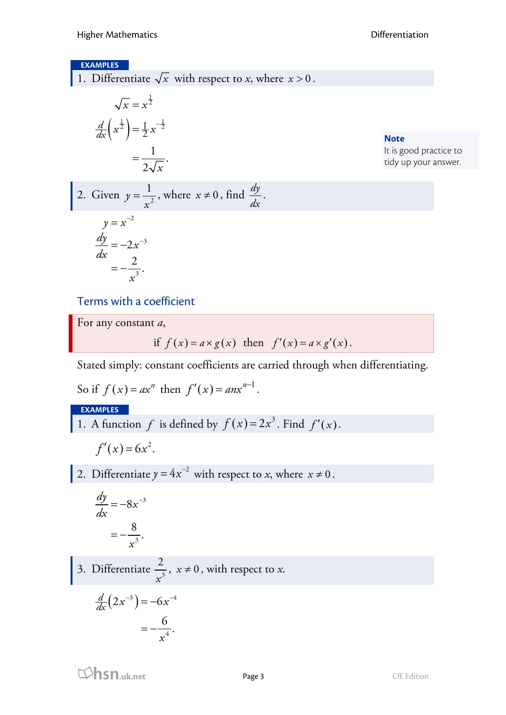#### **EXAMPLES**

1. Differentiate  $\sqrt{x}$  with respect to *x*, where  $x > 0$ .

$$
\sqrt{x} = x^{\frac{1}{2}}
$$

$$
\frac{d}{dx}\left(x^{\frac{1}{2}}\right) = \frac{1}{2}x^{-\frac{1}{2}}
$$

$$
= \frac{1}{2\sqrt{x}}.
$$

**Note** It is good practice to tidy up your answer.

2. Given 
$$
y = \frac{1}{x^2}
$$
, where  $x \neq 0$ , find  $\frac{dy}{dx}$ .

$$
y = x^{-2}
$$

$$
\frac{dy}{dx} = -2x^{-3}
$$

$$
= -\frac{2}{x^3}.
$$

Terms with a coefficient

For any constant *a*,

if 
$$
f(x) = a \times g(x)
$$
 then  $f'(x) = a \times g'(x)$ .

Stated simply: constant coefficients are carried through when differentiating.

So if  $f(x) = ax^n$  then  $f'(x) = anx^{n-1}$ .

### **EXAMPLES**

1. A function *f* is defined by  $f(x) = 2x^3$ . Find  $f'(x)$ .

$$
f'(x)=6x^2.
$$

2. Differentiate  $y = 4x^{-2}$  with respect to *x*, where  $x \ne 0$ .

$$
\frac{dy}{dx} = -8x^{-3}
$$

$$
= -\frac{8}{x^3}.
$$

3. Differentiate  $\frac{2}{x^3}$ ,  $x \neq 0$ , with respect to *x*.

$$
\frac{d}{dx}\left(2x^{-3}\right) = -6x^{-4}
$$
\n
$$
= -\frac{6}{x^4}.
$$

*x*

**hsn.uk.net** Page 3 CfE Edition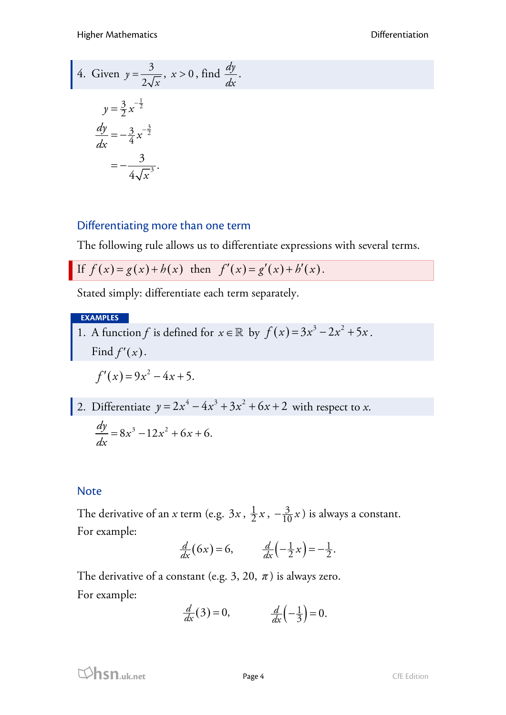4. Given 
$$
y = \frac{3}{2\sqrt{x}}
$$
,  $x > 0$ , find  $\frac{dy}{dx}$ .  
\n
$$
y = \frac{3}{2}x^{-\frac{1}{2}}
$$
\n
$$
\frac{dy}{dx} = -\frac{3}{4}x^{-\frac{3}{2}}
$$
\n
$$
= -\frac{3}{4\sqrt{x^3}}
$$

# Differentiating more than one term

The following rule allows us to differentiate expressions with several terms.

If 
$$
f(x) = g(x) + h(x)
$$
 then  $f'(x) = g'(x) + h'(x)$ .

Stated simply: differentiate each term separately.

### **EXAMPLES**

1. A function *f* is defined for  $x \in \mathbb{R}$  by  $f(x) = 3x^3 - 2x^2 + 5x$ . Find  $f'(x)$ .

$$
f'(x) = 9x^2 - 4x + 5.
$$

2. Differentiate 
$$
y = 2x^4 - 4x^3 + 3x^2 + 6x + 2
$$
 with respect to x.  
\n
$$
\frac{dy}{dx} = 8x^3 - 12x^2 + 6x + 6.
$$

# **Note**

The derivative of an *x* term (e.g.  $3x$ ,  $\frac{1}{2}x$ ,  $-\frac{3}{10}x$ ) is always a constant. For example:

$$
\frac{d}{dx}(6x) = 6, \qquad \frac{d}{dx}\left(-\frac{1}{2}x\right) = -\frac{1}{2}.
$$

The derivative of a constant (e.g. 3, 20,  $\pi$ ) is always zero. For example:

$$
\frac{d}{dx}(3) = 0, \qquad \frac{d}{dx}\left(-\frac{1}{3}\right) = 0.
$$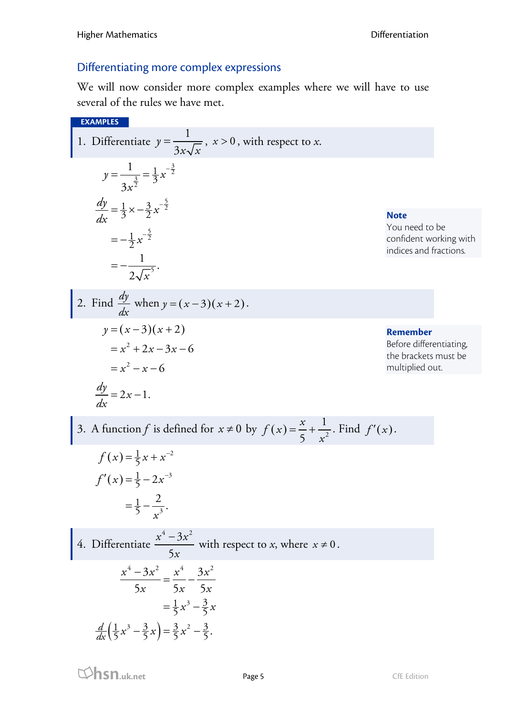# Differentiating more complex expressions

We will now consider more complex examples where we will have to use several of the rules we have met.

**EXAMPLES** 1. Differentiate  $y = \frac{1}{2}$  $y = \frac{1}{3x\sqrt{x}}$ ,  $x > 0$ , with respect to *x*.  $\frac{3}{2} = \frac{1}{3} x^{-\frac{3}{2}}$  $\frac{1}{2} \times -\frac{3}{2} x^{-\frac{5}{2}}$  $\frac{1}{2}x^{-\frac{5}{2}}$ 5  $\frac{1}{2}$ 3  $\frac{dy}{dx} = \frac{1}{3} \times -\frac{3}{2} x$  $=-\frac{1}{2}x^{-}$ 1 3  $\frac{1}{2\sqrt{x^5}}$  $y = \frac{1}{3} = \frac{1}{3}x$ *x dx*  $=\frac{1}{3}=\frac{1}{3}x^{-}$  $=\frac{1}{3} \times -\frac{3}{2} x^{-}$ = − 2. Find  $\frac{dy}{dx}$ *dx* when  $y=(x-3)(x+2)$ .  $y = (x - 3)(x + 2)$  $= x^2 + 2x - 3x - 6$  $x^2 - x - 6$  $\frac{dy}{dx} = 2x - 1.$ *dx*  $= 2x -$ 3. A function *f* is defined for  $x \neq 0$  by  $f(x) = \frac{x}{5} + \frac{1}{x^2}$ 5  $f(x) = \frac{x}{x}$ *x*  $=\frac{x}{\epsilon}+\frac{1}{2}$ . Find  $f'(x)$ .  $(x) = \frac{1}{5}x + x^{-2}$  $(x) = \frac{1}{5} - 2x^{-3}$ 3  $f(x) = \frac{1}{5}x + x^{-1}$  $f'(x) = \frac{1}{5} - 2x^{-}$ 1  $rac{1}{5} - \frac{2}{r^3}$ . *x*  $=\frac{1}{5}-$ **Note** You need to be confident working with indices and fractions. **Remember** Before differentiating, the brackets must be multiplied out.

4. Differentiate  $4 - 3x^2$ 5  $x^4 - 3x$ *x*  $\frac{-3x^2}{5}$  with respect to *x*, where  $x \ne 0$ .  $\left(\frac{1}{5}x^3 - \frac{3}{5}x\right) = \frac{3}{5}x^2 - \frac{3}{5}$  $4-3x^2$   $x^4$   $3x^2$  $\frac{1}{2}x^3 - \frac{3}{5}$  $=\frac{1}{5}x^3-\frac{3}{5}x$  $\frac{d}{dx}$  $\left(\frac{1}{5}x^3 - \frac{3}{5}x\right) = \frac{3}{5}x^2 - \frac{3}{5}.$  $5x$   $5x$  5  $x^4 - 3x^2$   $x^4$   $3x$  $x$  5 $x$  5 $x$  $\frac{-3x^2}{1} = \frac{x^4}{1}$ 

**html**<br> **hsn.uk.net** Page 5 CfE Edition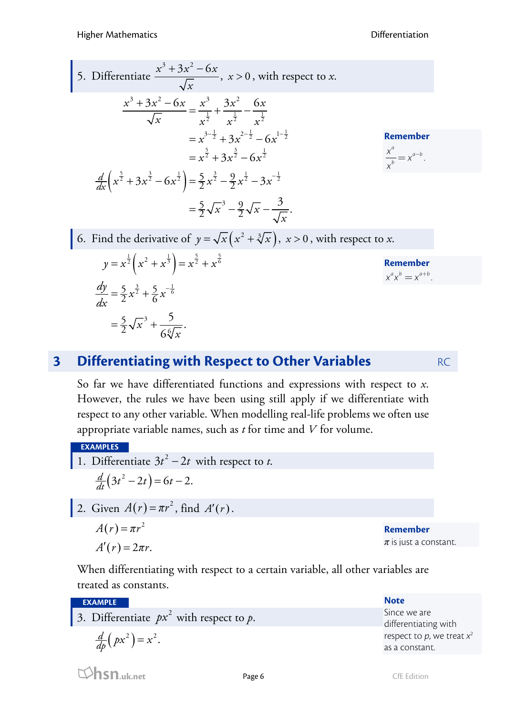Higher Mathematics Differentiation

5. Differentiate 
$$
\frac{x^3 + 3x^2 - 6x}{\sqrt{x}}
$$
,  $x > 0$ , with respect to x.  
\n
$$
\frac{x^3 + 3x^2 - 6x}{\sqrt{x}} = \frac{x^3}{x^{\frac{1}{2}}} + \frac{3x^2}{x^{\frac{1}{2}}} - \frac{6x}{x^{\frac{1}{2}}}
$$
\n
$$
= x^{\frac{3}{2}} + 3x^{\frac{3}{2}} - 6x^{\frac{1}{2}}
$$
\n
$$
= x^{\frac{5}{2}} + 3x^{\frac{3}{2}} - 6x^{\frac{1}{2}}
$$
\nRemember\n
$$
\frac{d}{dx} \left( x^{\frac{5}{2}} + 3x^{\frac{3}{2}} - 6x^{\frac{1}{2}} \right) = \frac{5}{2}x^{\frac{3}{2}} - \frac{9}{2}x^{\frac{1}{2}} - 3x^{-\frac{1}{2}}
$$
\n
$$
= \frac{5}{2} \sqrt{x^3} - \frac{9}{2} \sqrt{x} - \frac{3}{\sqrt{x}}.
$$
\n6. Find the derivative of  $y = \sqrt{x} (x^2 + \sqrt[3]{x})$ ,  $x > 0$ , with respect to x.  
\n
$$
y = x^{\frac{1}{2}} \left( x^2 + x^{\frac{1}{3}} \right) = x^{\frac{5}{2}} + x^{\frac{5}{6}}
$$
\nRemember\n
$$
\frac{dy}{dx} = \frac{5}{2} x^{\frac{3}{2}} + \frac{5}{6} x^{-\frac{1}{6}}
$$
\n
$$
= \frac{5}{2} \sqrt{x^3} + \frac{5}{6 \sqrt[6]{x}}.
$$

# **3 Differentiating with Respect to Other Variables** RC

So far we have differentiated functions and expressions with respect to *x*. However, the rules we have been using still apply if we differentiate with respect to any other variable. When modelling real-life problems we often use appropriate variable names, such as *t* for time and *V* for volume.

**EXAMPLES**

- 1. Differentiate  $3t^2 2t$  with respect to *t*.  $\frac{d}{dt}(3t^2 - 2t) = 6t - 2.$
- 2. Given  $A(r) = \pi r^2$ , find  $A'(r)$ .  $A(r) = \pi r^2$  $A'(r) = 2\pi r$ .

3

*x*

 $=\frac{5}{2}\sqrt{x}^{3} +$ 

5

6

*x*

**Remember** *π* is just a constant.

When differentiating with respect to a certain variable, all other variables are treated as constants.

**EXAMPLE**

3. Differentiate  $px^2$  with respect to  $p$ .

$$
\frac{d}{dp}\left( px^{2}\right) =x^{2}.
$$

**hsn.uk.net** Page 6 CfE Edition

as a constant.

**Note**

Since we are

differentiating with respect to  $p$ , we treat  $x^2$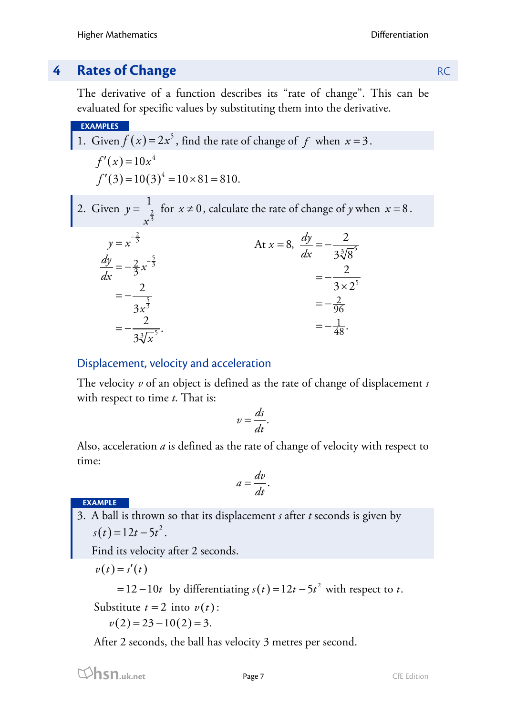# **4 Rates of Change** RC

The derivative of a function describes its "rate of change". This can be evaluated for specific values by substituting them into the derivative.

**EXAMPLE5**  
\n1. Given 
$$
f(x) = 2x^5
$$
, find the rate of change of f when  $x = 3$ .  
\n $f'(x) = 10x^4$   
\n $f'(3) = 10(3)^4 = 10 \times 81 = 810$ .  
\n2. Given  $y = \frac{1}{x^{\frac{2}{3}}}$  for  $x \ne 0$ , calculate the rate of change of y when  $x = 8$ .  
\n $y = x^{-\frac{2}{3}}$   
\n $y = \frac{dy}{dx} = -\frac{2}{3x^{\frac{5}{3}}}$   
\n $= -\frac{2}{3x^{\frac{5}{3}}}$   
\n $= -\frac{2}{3x^{\frac{5}{3}}}$   
\n $= -\frac{2}{3(3x^{\frac{5}{3}})}$   
\n $= -\frac{2}{3(3x^{\frac{5}{3}})}$   
\n $= -\frac{2}{3(3x^{\frac{5}{3}})}$   
\n $= -\frac{2}{3(3x^{\frac{5}{3}})}$   
\n $= -\frac{2}{3(3x^{\frac{5}{3}})}$   
\n $= -\frac{1}{48}$ .

# Displacement, velocity and acceleration

The velocity *v* of an object is defined as the rate of change of displacement *s* with respect to time *t*. That is:

$$
v=\frac{ds}{dt}.
$$

Also, acceleration *a* is defined as the rate of change of velocity with respect to time:

$$
a=\frac{dv}{dt}.
$$

**EXAMPLE**

3. A ball is thrown so that its displacement *s* after *t* seconds is given by  $s(t) = 12t - 5t^2$ .

Find its velocity after 2 seconds.

$$
v(t)=s'(t)
$$

 $= 12 - 10t$  by differentiating  $s(t) = 12t - 5t^2$  with respect to t.

Substitute  $t = 2$  into  $v(t)$ :

$$
v(2) = 23 - 10(2) = 3.
$$

After 2 seconds, the ball has velocity 3 metres per second.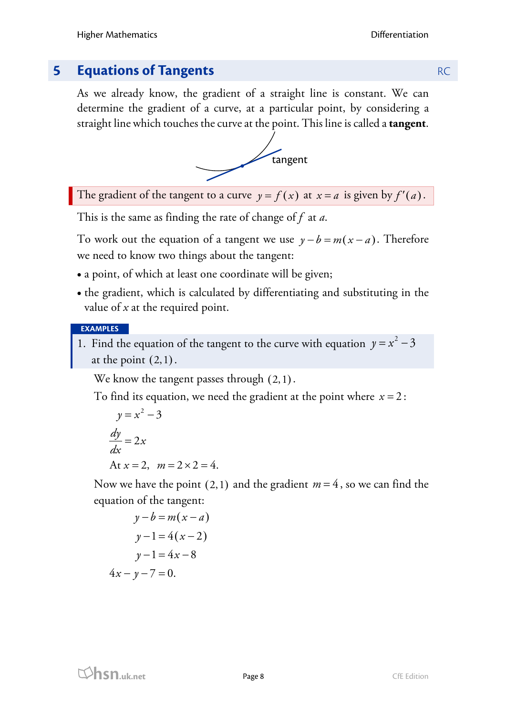# **5 <b>Equations of Tangents RC RC RC RC**

As we already know, the gradient of a straight line is constant. We can determine the gradient of a curve, at a particular point, by considering a straight line which touches the curve at the point. This line is called a **tangent**.



The gradient of the tangent to a curve  $y = f(x)$  at  $x = a$  is given by  $f'(a)$ .

This is the same as finding the rate of change of *f* at *a*.

To work out the equation of a tangent we use  $y - b = m(x - a)$ . Therefore we need to know two things about the tangent:

- a point, of which at least one coordinate will be given;
- the gradient, which is calculated by differentiating and substituting in the value of *x* at the required point.

#### **EXAMPLES**

1. Find the equation of the tangent to the curve with equation  $y = x^2 - 3$ at the point  $(2,1)$ .

We know the tangent passes through  $(2,1)$ .

To find its equation, we need the gradient at the point where  $x = 2$ :

$$
y = x2 - 3
$$
  

$$
\frac{dy}{dx} = 2x
$$
  
At  $x = 2$ ,  $m = 2 \times 2 = 4$ .

Now we have the point  $(2,1)$  and the gradient  $m=4$ , so we can find the equation of the tangent:

$$
y-b = m(x-a)
$$
  

$$
y-1 = 4(x-2)
$$
  

$$
y-1 = 4x-8
$$
  

$$
4x - y - 7 = 0.
$$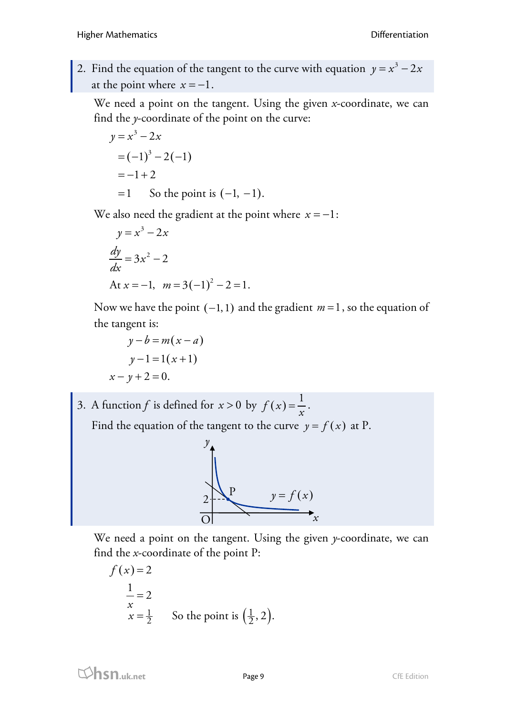2. Find the equation of the tangent to the curve with equation  $y = x^3 - 2x$ at the point where  $x = -1$ .

We need a point on the tangent. Using the given *x*-coordinate, we can find the *y*-coordinate of the point on the curve:

$$
y = x3 - 2x
$$
  
=  $(-1)3 - 2(-1)$   
=  $-1 + 2$   
= 1 So the point is  $(-1, -1)$ .

We also need the gradient at the point where  $x = -1$ :

$$
y = x3 - 2x
$$
  
\n
$$
\frac{dy}{dx} = 3x2 - 2
$$
  
\nAt  $x = -1$ ,  $m = 3(-1)2 - 2 = 1$ .

Now we have the point (−1,1) and the gradient *m* =1, so the equation of the tangent is:

$$
y-b = m(x-a)
$$
  
y-1=1(x+1)  
-y+2=0.

 $\mathcal{X}$ 

3. A function *f* is defined for  $x > 0$  by  $f(x) = \frac{1}{x}$ . Find the equation of the tangent to the curve  $y = f(x)$  at P.



We need a point on the tangent. Using the given *y*-coordinate, we can find the *x*-coordinate of the point P:

$$
f(x)=2
$$
  
\n
$$
\frac{1}{x} = 2
$$
  
\n
$$
x = \frac{1}{2}
$$
 So the point is  $(\frac{1}{2}, 2)$ .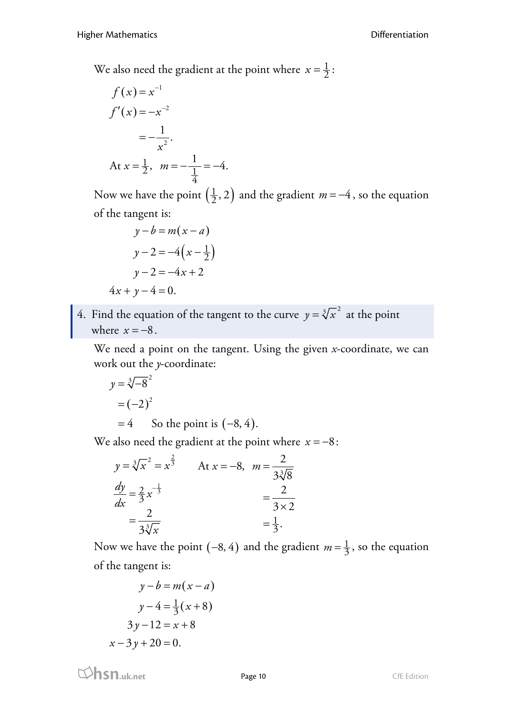We also need the gradient at the point where  $x = \frac{1}{2}$ :

$$
f(x) = x^{-1}
$$
  
\n
$$
f'(x) = -x^{-2}
$$
  
\n
$$
= -\frac{1}{x^2}.
$$
  
\nAt  $x = \frac{1}{2}$ ,  $m = -\frac{1}{\frac{1}{4}} = -4$ .

Now we have the point  $\left(\frac{1}{2}, 2\right)$  and the gradient *m* = −4, so the equation of the tangent is:

$$
y-b=m(x-a)
$$

$$
y-2=-4\left(x-\frac{1}{2}\right)
$$

$$
y-2=-4x+2
$$

$$
4x+y-4=0.
$$

4. Find the equation of the tangent to the curve  $y = \sqrt[3]{x^2}$  at the point where  $x = -8$ .

We need a point on the tangent. Using the given *x*-coordinate, we can work out the *y*-coordinate:

$$
y = \sqrt[3]{-8}^{2}
$$
  
=  $(-2)^{2}$   
= 4 So the point is  $(-8, 4)$ .

We also need the gradient at the point where  $x = -8$ :

$$
y = \sqrt[3]{x^2} = x^{\frac{2}{3}}
$$
 At  $x = -8$ ,  $m = \frac{2}{3\sqrt[3]{8}}$   

$$
\frac{dy}{dx} = \frac{2}{3}x^{-\frac{1}{3}}
$$

$$
= \frac{2}{3\sqrt[3]{x}}
$$

$$
= \frac{1}{3}.
$$

Now we have the point  $(-8, 4)$  and the gradient  $m = \frac{1}{3}$ , so the equation of the tangent is:

$$
y-b=m(x-a)
$$

$$
y-4=\frac{1}{3}(x+8)
$$

$$
3y-12=x+8
$$

$$
x-3y+20=0.
$$

**html**<br> **hsn.uk.net** Page 10 Page 10 CfE Edition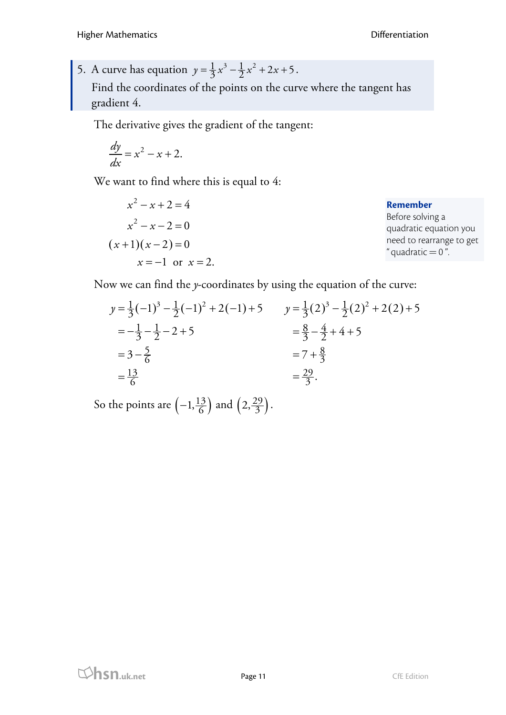5. A curve has equation  $y = \frac{1}{3}x^3 - \frac{1}{2}x^2 + 2x + 5$ . Find the coordinates of the points on the curve where the tangent has gradient 4.

The derivative gives the gradient of the tangent:

$$
\frac{dy}{dx} = x^2 - x + 2.
$$

We want to find where this is equal to 4:

$$
x^{2}-x+2=4
$$
  
\n
$$
x^{2}-x-2=0
$$
  
\n
$$
(x+1)(x-2)=0
$$
  
\n
$$
x=-1 \text{ or } x=2.
$$
  
\n  
\n**Remember**  
\nBefore solving a  
\nquadratic equation you  
\nneed to rearrange to get  
\n"quadratic = 0".

Now we can find the *y*-coordinates by using the equation of the curve:

$$
y = \frac{1}{3}(-1)^3 - \frac{1}{2}(-1)^2 + 2(-1) + 5 \qquad y = \frac{1}{3}(2)^3 - \frac{1}{2}(2)^2 + 2(2) + 5
$$
  
=  $-\frac{1}{3} - \frac{1}{2} - 2 + 5$   
=  $3 - \frac{5}{6}$   
=  $\frac{13}{6}$   
 $y = \frac{1}{3}(2)^3 - \frac{1}{2}(2)^2 + 2(2) + 5$   
=  $\frac{8}{3} - \frac{4}{2} + 4 + 5$   
=  $7 + \frac{8}{3}$   
=  $\frac{29}{3}$ .

So the points are  $\left(-1, \frac{13}{6}\right)$  and  $\left(2, \frac{29}{3}\right)$ .

**hsn.uk.net** Page 11 Page 11 CfE Edition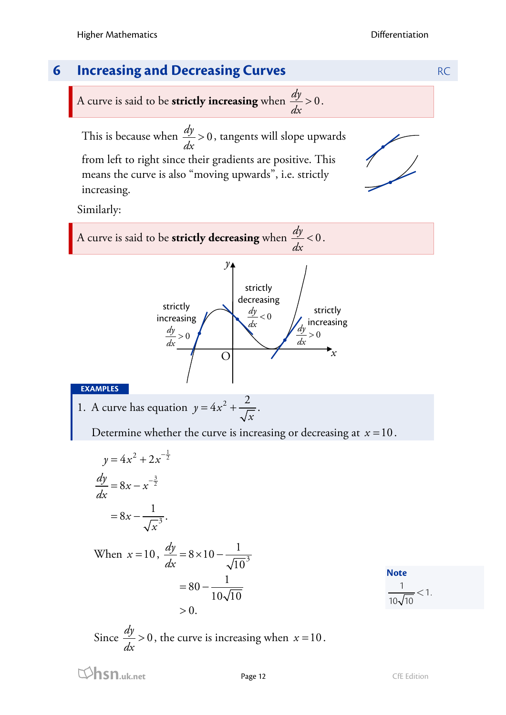

Similarly:

A curve is said to be **strictly decreasing** when  $\frac{dy}{dx} < 0$  $< 0$ .



#### **EXAMPLES**

1. A curve has equation  $y = 4x^2 + \frac{2}{x}$ *x*  $= 4x^2 + \frac{2}{\sqrt{}}$ .

Determine whether the curve is increasing or decreasing at *x* =10.

$$
y = 4x^{2} + 2x^{-\frac{1}{2}}
$$
  
\n
$$
\frac{dy}{dx} = 8x - x^{-\frac{3}{2}}
$$
  
\n
$$
= 8x - \frac{1}{\sqrt{x^{3}}}
$$
  
\nWhen  $x = 10$ ,  $\frac{dy}{dx} = 8$ 

When  $x = 10$ ,  $\frac{dy}{dx} = 8 \times 10 - \frac{1}{\sqrt{10^3}}$  $10$  $80 - \frac{1}{10}$  $10\sqrt{10}$  $>0$ . *dx*  $=8 \times 10 = 80 -$ 

**Note**  $\frac{1}{\sqrt{1}} < 1$  $10\sqrt{10}$  $<$  1.

Since 
$$
\frac{dy}{dx} > 0
$$
, the curve is increasing when  $x = 10$ .

**html**<br> **hsn.uk.net** Page 12 CfE Edition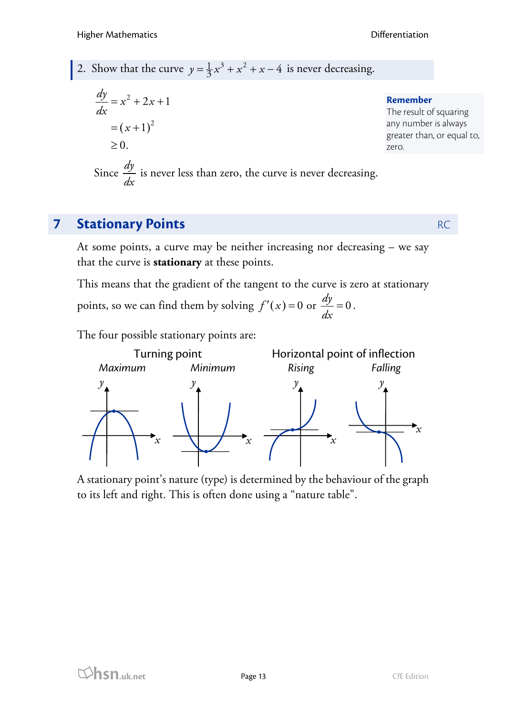# 2. Show that the curve  $y = \frac{1}{3}x^3 + x^2 + x - 4$  is never decreasing.

$$
\frac{dy}{dx} = x^2 + 2x + 1
$$
\n  
\n
$$
= (x + 1)^2
$$
\n  
\n
$$
\ge 0.
$$
\n  
\n**Remember**  
\nThe result of squaring  
\nany number is always  
\ngreater than, or equal to,  
\nzero.

Since 
$$
\frac{dy}{dx}
$$
 is never less than zero, the curve is never decreasing.

# **7 Stationary Points** RC

At some points, a curve may be neither increasing nor decreasing – we say that the curve is **stationary** at these points.

This means that the gradient of the tangent to the curve is zero at stationary points, so we can find them by solving  $f'(x) = 0$  or  $\frac{dy}{dx} = 0$ .

The four possible stationary points are:



A stationary point's nature (type) is determined by the behaviour of the graph to its left and right. This is often done using a "nature table".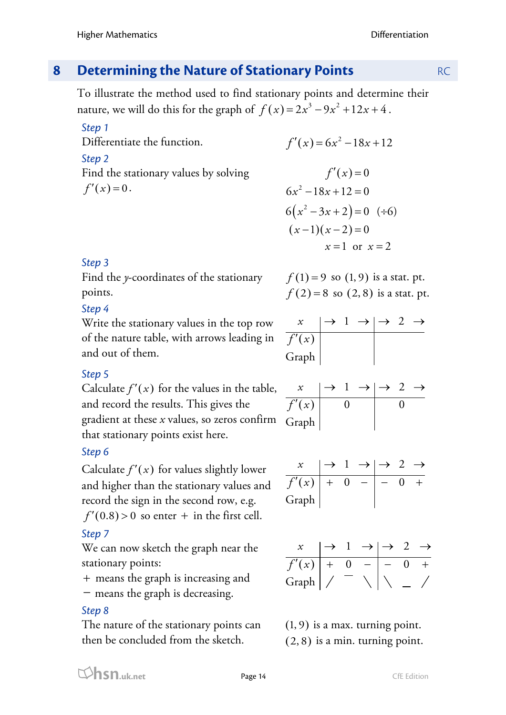# **8 Determining the Nature of Stationary Points** RC

To illustrate the method used to find stationary points and determine their nature, we will do this for the graph of  $f(x) = 2x^3 - 9x^2 + 12x + 4$ .

### *Step 1*

Differentiate the function.

#### *Step 2*

Find the stationary values by solving  $f'(x) = 0.$ 

$$
f'(x) = 6x^2 - 18x + 12
$$

$$
f'(x) = 0
$$
  
\n
$$
6x^{2} - 18x + 12 = 0
$$
  
\n
$$
6(x^{2} - 3x + 2) = 0 \quad (\div 6)
$$
  
\n
$$
(x - 1)(x - 2) = 0
$$
  
\n
$$
x = 1 \text{ or } x = 2
$$

# *Step 3*

Find the *y*-coordinates of the stationary points.

# *Step 4*

Write the stationary values in the top row of the nature table, with arrows leading in and out of them.

# *Step 5*

Calculate  $f'(x)$  for the values in the table, and record the results. This gives the gradient at these *x* values, so zeros confirm that stationary points exist here.

# *Step 6*

Calculate  $f'(x)$  for values slightly lower and higher than the stationary values and record the sign in the second row, e.g.  $f'(0.8) > 0$  so enter + in the first cell.

# *Step 7*

We can now sketch the graph near the stationary points:

+ means the graph is increasing and

− means the graph is decreasing.

# *Step 8*

The nature of the stationary points can then be concluded from the sketch.

$$
f(1) = 9
$$
 so  $(1, 9)$  is a stat. pt.  
 $f(2) = 8$  so  $(2, 8)$  is a stat. pt.

| $\mathcal{X}$ |  |  |  |
|---------------|--|--|--|
| f'(x)         |  |  |  |
| Graph         |  |  |  |

| f'(x) |  |  |  |
|-------|--|--|--|
| Graph |  |  |  |

$$
\begin{array}{c|cc}\nx & \rightarrow & 1 \rightarrow & \rightarrow & 2 \rightarrow \\
\hline\nf'(x) & + & 0 & - & - & 0 & + \\
\hline\nGraph & & & & \n\end{array}
$$

| f'(x)           |  |  |  |
|-----------------|--|--|--|
| Graph $\vert$ / |  |  |  |

(1, 9) is a max. turning point. (2, 8) is a min. turning point.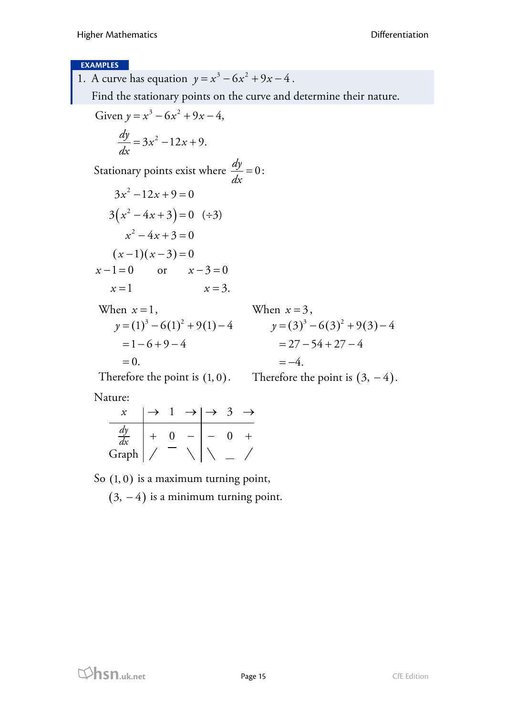#### **EXAMPLES**

1. A curve has equation  $y = x^3 - 6x^2 + 9x - 4$ . Find the stationary points on the curve and determine their nature. Given  $y = x^3 - 6x^2 + 9x - 4$ ,  $\frac{dy}{dx} = 3x^2 - 12x + 9.$ *dx*  $=3x^2-12x+$ Stationary points exist where  $\frac{dy}{dx} = 0$ :  $3(x^2-4x+3)=0$  (÷3)  $(x-1)(x-3)=0$  $3x^2 - 12x + 9 = 0$  $x^2 - 4x + 3 = 0$  $x-1=0$  or  $x-3=0$  $x = 1$   $x = 3$ . When  $x=1$ ,  $y=(1)^3-6(1)^2+9(1)-4$   $y=(3)^3-6(3)^2+9(3)-4$  $=1-6+9-4$  $=0.$ Therefore the point is  $(1,0)$ . Therefore the point is  $(3, -4)$ . When  $x = 3$ .  $= 27 - 54 + 27 - 4$  $=-4.$ 

Nature:

$$
\begin{array}{c|c}\nx & \rightarrow & 1 \rightarrow & \rightarrow & 3 \rightarrow \\
\hline\n\frac{dy}{dx} & + & 0 & - & - & 0 & + \\
\hline\nGraph & / & - & \n\end{array}
$$

So  $(1, 0)$  is a maximum turning point,

 $(3, -4)$  is a minimum turning point.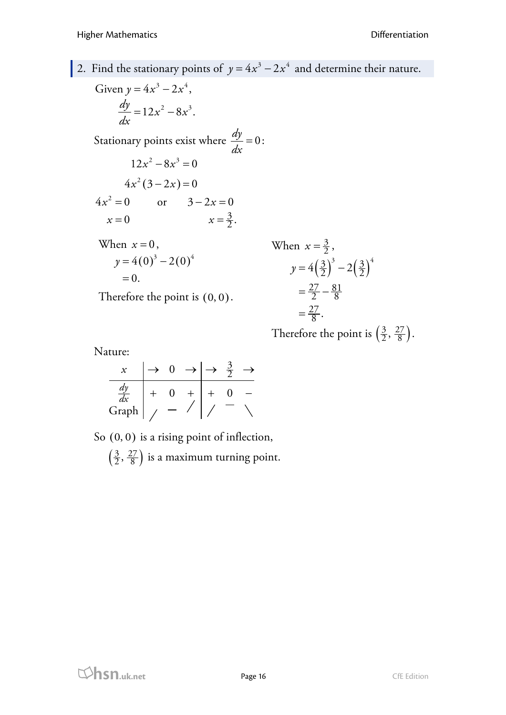# 2. Find the stationary points of  $y = 4x^3 - 2x^4$  and determine their nature.

Given  $y = 4x^3 - 2x^4$ ,  $\frac{dy}{dx} = 12x^2 - 8x^3.$ *dx*  $= 12x^2 -$ Stationary points exist where  $\frac{dy}{dx} = 0$ :  $4x^2(3-2x)=0$  $12x^2 - 8x^3 = 0$  $4x^2 = 0$  or  $3 - 2x = 0$ 3  $= 0$   $x = \frac{3}{2}.$  $x = 0$ When  $x=0$ ,  $y = 4(0)^3 - 2(0)^4$  $=0.$ Therefore the point is  $(0, 0)$ . When  $x = \frac{3}{2}$ ,  $y = 4\left(\frac{3}{2}\right)^3 - 2\left(\frac{3}{2}\right)^4$  $\frac{27}{2} - \frac{81}{2}$  $=\frac{27}{2}-\frac{8}{8}$ 

 $\frac{27}{1}$  $=\frac{27}{8}$ . Therefore the point is  $\left(\frac{3}{2}, \frac{27}{8}\right)$ .

Nature:

| dx    |  |  |  |
|-------|--|--|--|
| Graph |  |  |  |

So  $(0, 0)$  is a rising point of inflection,  $\left(\frac{3}{2}, \frac{27}{8}\right)$  is a maximum turning point.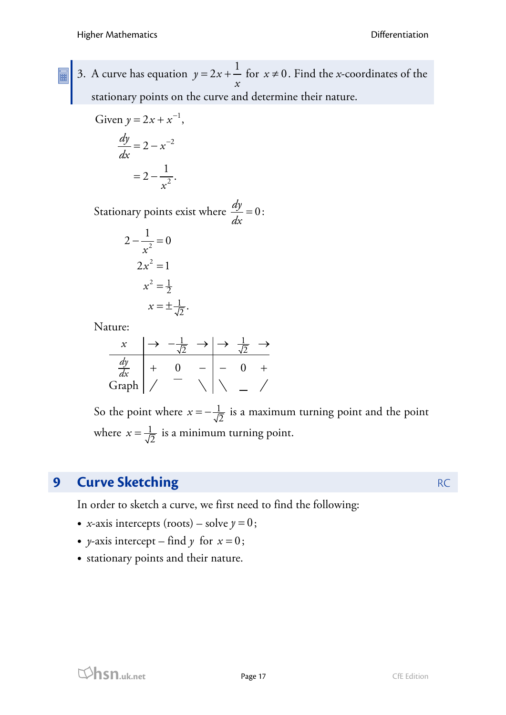- 
- 3. A curve has equation  $y = 2x + \frac{1}{x}$ *x*  $= 2x + \frac{1}{x}$  for  $x \ne 0$ . Find the *x*-coordinates of the stationary points on the curve and determine their nature.

Given 
$$
y = 2x + x^{-1}
$$
,  
\n
$$
\frac{dy}{dx} = 2 - x^{-2}
$$

$$
=2-\frac{1}{x^2}.
$$

Stationary points exist where  $\frac{dy}{dx} = 0$ :

1  $rac{1}{2}$ .

$$
2 - \frac{1}{x^2} = 0
$$
  

$$
2x^2 = 1
$$
  

$$
x^2 = \frac{1}{2}
$$
  

$$
x = \pm \frac{1}{2}
$$

Nature:

| $x$             | $\rightarrow$ | $-\frac{1}{\sqrt{2}}$ | $\rightarrow$              | $\frac{1}{\sqrt{2}}$ | $\rightarrow$              |   |
|-----------------|---------------|-----------------------|----------------------------|----------------------|----------------------------|---|
| $\frac{dy}{dx}$ | +             | 0                     | -                          | -                    | 0                          | + |
| Graph           | /             | -                     | \n $\sqrt{\phantom{0}}$ \n | -                    | \n $\sqrt{\phantom{0}}$ \n |   |

So the point where  $x = -\frac{1}{\sqrt{2}}$  is a maximum turning point and the point where  $x = \frac{1}{\sqrt{2}}$  is a minimum turning point.

# **9 Curve Sketching** RC

In order to sketch a curve, we first need to find the following:

- *x*-axis intercepts (roots) solve  $y = 0$ ;
- *y*-axis intercept find *y* for  $x = 0$ ;
- stationary points and their nature.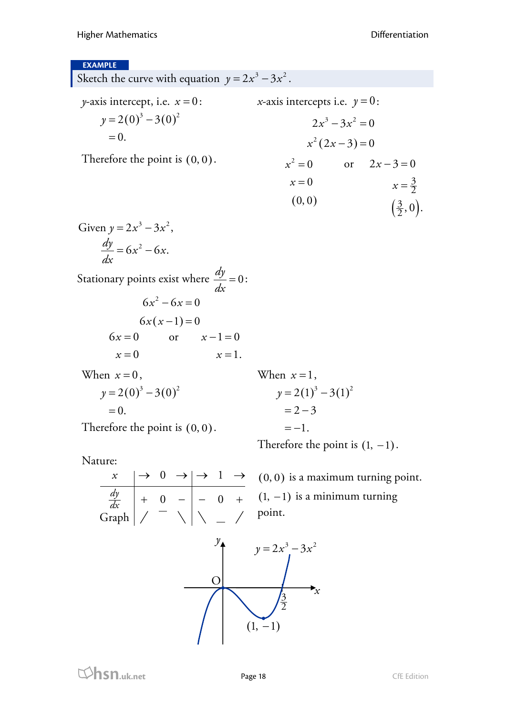#### **EXAMPLE**

Sketch the curve with equation  $y = 2x^3 - 3x^2$ . *y*-axis intercept, i.e.  $x = 0$ :  $y = 2(0)^3 - 3(0)^2$  $=0.$ Therefore the point is (0, 0). *x*-axis intercepts i.e.  $y = 0$ :  $x^2 (2x-3) = 0$  $2x^3 - 3x^2 = 0$  $(0, 0)$  $x^2 = 0$  or  $2x - 3 = 0$  $x=0$  $\left(\frac{3}{2},0\right)$ 3  $x=\frac{3}{2}$  $(\frac{3}{2},0).$ Given  $y = 2x^3 - 3x^2$ ,  $\frac{dy}{dx} = 6x^2 - 6x.$ *dx*  $= 6x^2 -$ Stationary points exist where  $\frac{dy}{dx} = 0$ :  $6x(x-1)=0$  $6x^2 - 6x = 0$  $6x = 0$  or  $x - 1 = 0$  $x=0$  $x=1$ . When  $x=0$ ,  $y = 2(0)^3 - 3(0)^2$  $=0.$ Therefore the point is  $(0, 0)$ . When  $x=1$ ,  $y = 2(1)^3 - 3(1)^2$  $= 2 - 3$  $=-1$ . Therefore the point is  $(1, -1)$ . Nature:

 $0 \rightarrow \rightarrow 1$  $0 -$ | - 0 Graph *dy dx*  $x \mid \rightarrow 0 \rightarrow \mid \rightarrow 1 \rightarrow$  $+ 0 - | - 0 +$ 

(0, 0) is a maximum turning point.  $(1, -1)$  is a minimum turning point.

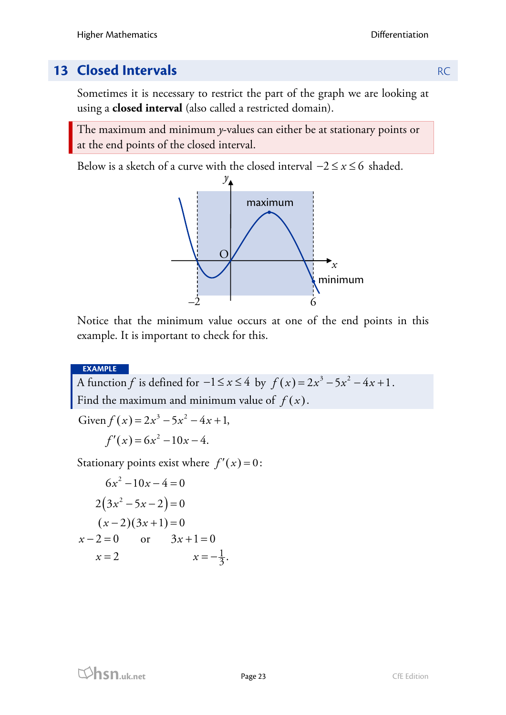# **13 Closed Intervals RC**

Sometimes it is necessary to restrict the part of the graph we are looking at using a **closed interval** (also called a restricted domain).

The maximum and minimum *y*-values can either be at stationary points or at the end points of the closed interval.

Below is a sketch of a curve with the closed interval  $-2 \le x \le 6$  shaded.



Notice that the minimum value occurs at one of the end points in this example. It is important to check for this.

**EXAMPLE**

A function *f* is defined for  $-1 \le x \le 4$  by  $f(x) = 2x^3 - 5x^2 - 4x + 1$ . Find the maximum and minimum value of  $f(x)$ .

Given  $f(x) = 2x^3 - 5x^2 - 4x + 1$ ,

 $f'(x) = 6x^2 - 10x - 4.$ 

Stationary points exist where  $f'(x) = 0$ :

$$
6x2-10x-4=0
$$
  
2(3x<sup>2</sup>-5x-2)=0  
(x-2)(3x+1)=0  
x-2=0 or 3x+1=0  
x=2 x=-\frac{1}{3}.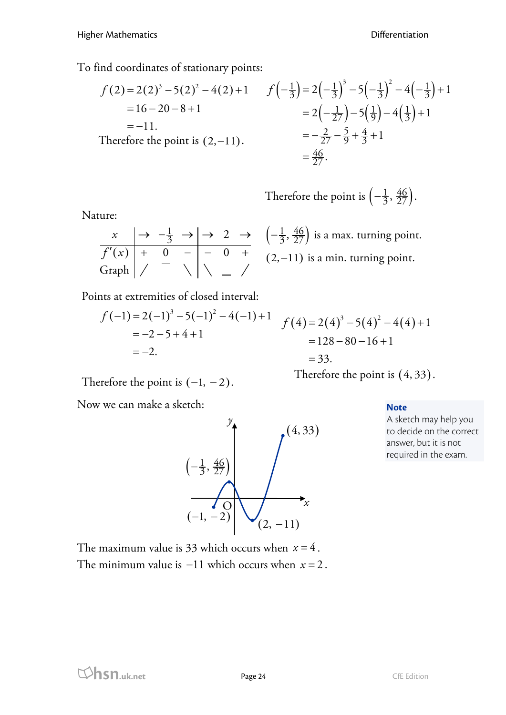To find coordinates of stationary points:

$$
f(2) = 2(2)^3 - 5(2)^2 - 4(2) + 1 \t f\left(-\frac{1}{3}\right) = 2\left(-\frac{1}{3}\right)^3 - 5\left(-\frac{1}{3}\right)^2 - 4\left(-\frac{1}{3}\right) + 1
$$
  
= 16 - 20 - 8 + 1  
= -11.  
Therefore the point is (2,-11).  

$$
= -\frac{2}{27} - \frac{5}{9} + \frac{4}{3} + 1
$$

$$
= \frac{46}{27}.
$$

Therefore the point is  $\left(-\frac{1}{3}, \frac{46}{27}\right)$ .

Nature:

| f'(x) |  |  |  |
|-------|--|--|--|
| Graph |  |  |  |

 $\left( -\frac{1}{3}, \frac{46}{27} \right)$  is a max. turning point.  $(2, -11)$  is a min. turning point.

Points at extremities of closed interval:

$$
f(-1)=2(-1)^3-5(-1)^2-4(-1)+1
$$
  
=-2-5+4+1  
=-2.  

$$
f(4)=2(4)^3-5(4)^2-4(4)+1
$$
  
=128-80-16+1  
=33.

Therefore the point is  $(-1, -2)$ .

Now we can make a sketch:



#### **Note**

Therefore the point is (4, 33).

A sketch may help you to decide on the correct answer, but it is not required in the exam.

The maximum value is 33 which occurs when  $x = 4$ . The minimum value is −11 which occurs when *x* = 2 .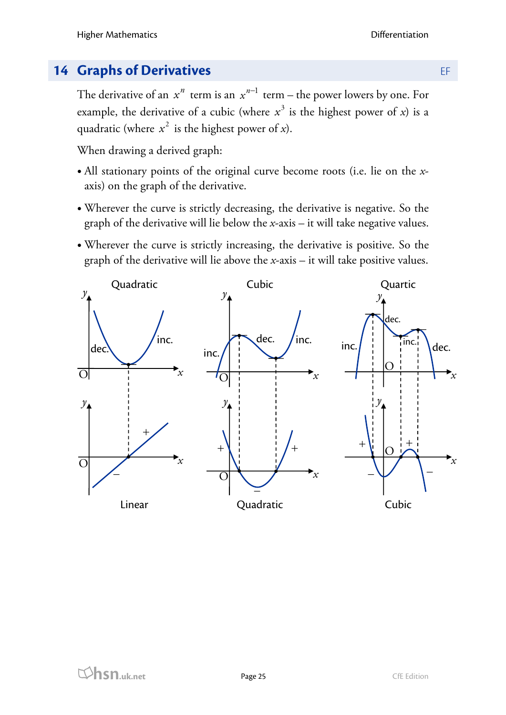# **14 Graphs of Derivatives** EF

The derivative of an  $x^n$  term is an  $x^{n-1}$  term – the power lowers by one. For example, the derivative of a cubic (where  $x^3$  is the highest power of *x*) is a quadratic (where  $x^2$  is the highest power of *x*).

When drawing a derived graph:

- All stationary points of the original curve become roots (i.e. lie on the *x*axis) on the graph of the derivative.
- Wherever the curve is strictly decreasing, the derivative is negative. So the graph of the derivative will lie below the *x*-axis – it will take negative values.
- Wherever the curve is strictly increasing, the derivative is positive. So the graph of the derivative will lie above the *x*-axis – it will take positive values.

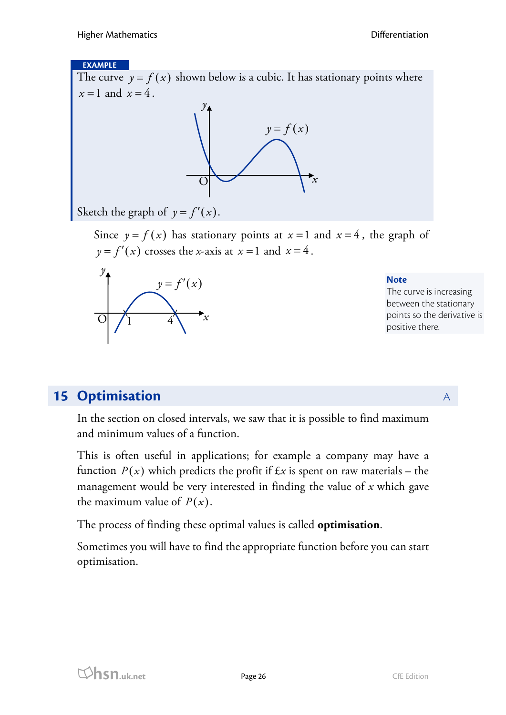#### **EXAMPLE**

The curve  $y = f(x)$  shown below is a cubic. It has stationary points where  $x=1$  and  $x=4$ .



Sketch the graph of  $y = f'(x)$ .

Since  $y = f(x)$  has stationary points at  $x = 1$  and  $x = 4$ , the graph of  $y = f'(x)$  crosses the *x*-axis at  $x = 1$  and  $x = 4$ .



**Note** The curve is increasing between the stationary points so the derivative is positive there.

# **15 Optimisation** A

In the section on closed intervals, we saw that it is possible to find maximum and minimum values of a function.

This is often useful in applications; for example a company may have a function  $P(x)$  which predicts the profit if  $\pounds x$  is spent on raw materials – the management would be very interested in finding the value of *x* which gave the maximum value of  $P(x)$ .

The process of finding these optimal values is called **optimisation**.

Sometimes you will have to find the appropriate function before you can start optimisation.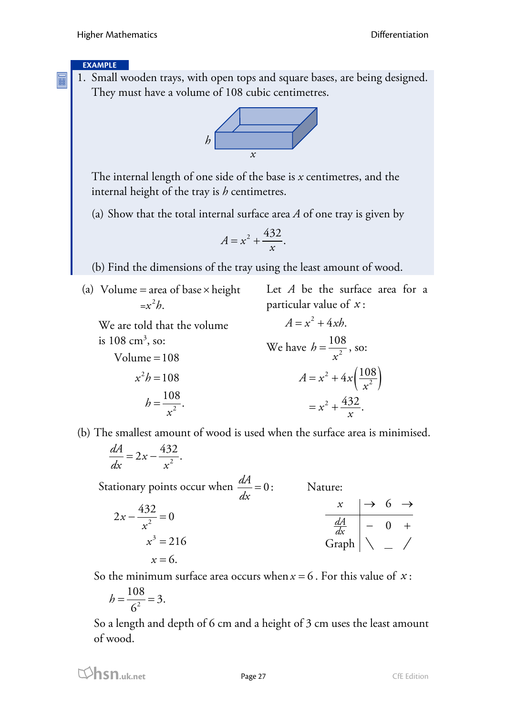#### **EXAMPLE**

E

1. Small wooden trays, with open tops and square bases, are being designed. They must have a volume of 108 cubic centimetres.



The internal length of one side of the base is *x* centimetres, and the internal height of the tray is *h* centimetres.

(a) Show that the total internal surface area *A* of one tray is given by

$$
A = x^2 + \frac{432}{x}.
$$

(b) Find the dimensions of the tray using the least amount of wood.

(a) Volume = area of base × height  
=
$$
x^2h
$$
.

Let *A* be the surface area for a particular value of *x* :

We are told that the volume is  $108 \text{ cm}^3$ , so:  $Volume = 108$ 

 $x^2h = 108$ 

 $h = \frac{108}{a^2}$ .

*x* =

$$
A = x2 + 4xh.
$$
  
We have 
$$
h = \frac{108}{x^{2}},
$$
 so:  

$$
A = x^{2} + 4x\left(\frac{108}{x^{2}}\right)
$$

$$
= x^{2} + \frac{432}{x}.
$$

(b) The smallest amount of wood is used when the surface area is minimised.

$$
\frac{dA}{dx} = 2x - \frac{432}{x^2}.
$$

Stationary points occur when  $\frac{dA}{dx} = 0$ : Nature:

$$
2x - \frac{432}{x^2} = 0
$$
\n
$$
x \rightarrow 6 \rightarrow
$$
\n
$$
\frac{dA}{dx} \rightarrow 0 +
$$
\n
$$
x = 6.
$$
\n
$$
x = 6.
$$

So the minimum surface area occurs when  $x = 6$ . For this value of  $x$ :

$$
h = \frac{108}{6^2} = 3.
$$

So a length and depth of 6 cm and a height of 3 cm uses the least amount of wood.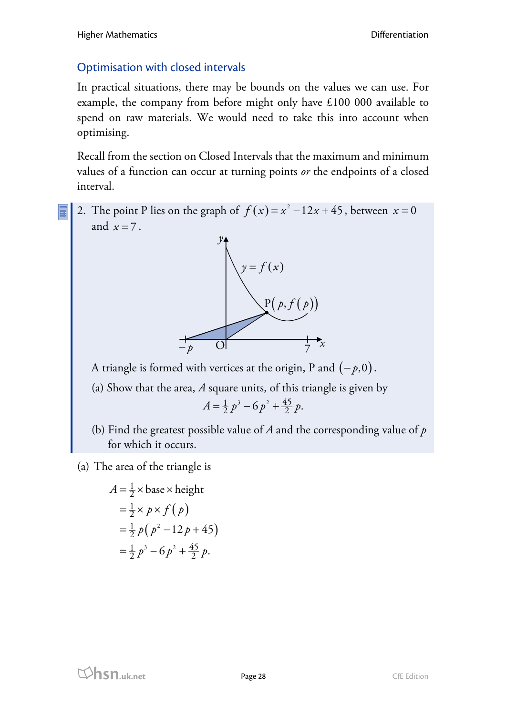# Optimisation with closed intervals

In practical situations, there may be bounds on the values we can use. For example, the company from before might only have £100 000 available to spend on raw materials. We would need to take this into account when optimising.

Recall from the section on Closed Intervals that the maximum and minimum values of a function can occur at turning points *or* the endpoints of a closed interval.

2. The point P lies on the graph of  $f(x) = x^2 - 12x + 45$ , between  $x = 0$ and  $x = 7$ .



A triangle is formed with vertices at the origin, P and (− *p*,0).

(a) Show that the area, *A* square units, of this triangle is given by

$$
A = \frac{1}{2} p^3 - 6 p^2 + \frac{45}{2} p.
$$

(b) Find the greatest possible value of *A* and the corresponding value of *p* for which it occurs.

(a) The area of the triangle is

$$
A = \frac{1}{2} \times \text{base} \times \text{height}
$$
  
=  $\frac{1}{2} \times p \times f(p)$   
=  $\frac{1}{2} p(p^2 - 12p + 45)$   
=  $\frac{1}{2} p^3 - 6p^2 + \frac{45}{2} p$ .